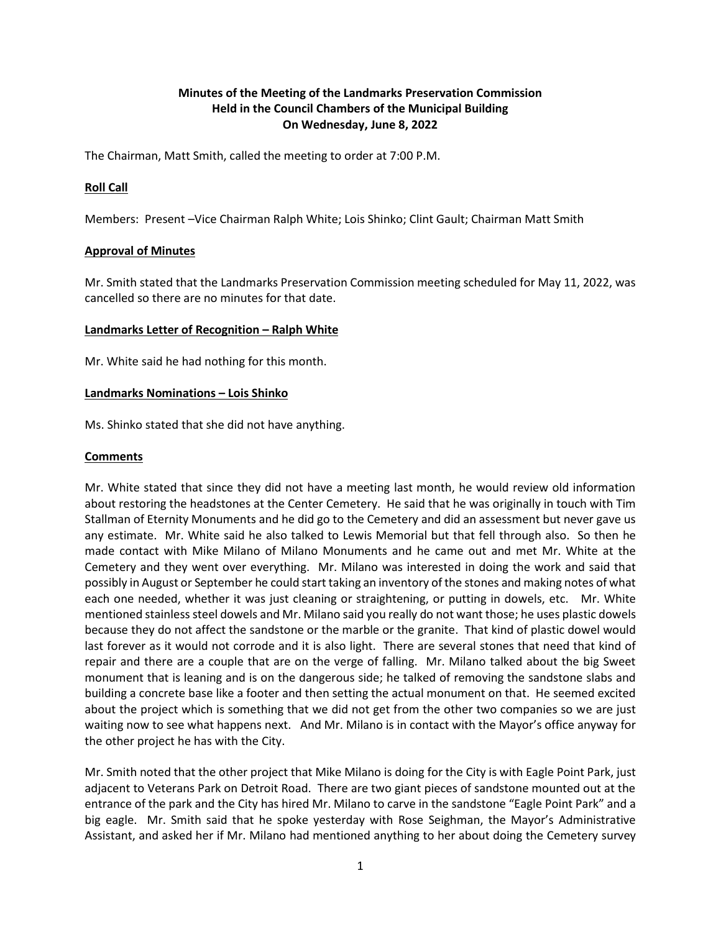# **Minutes of the Meeting of the Landmarks Preservation Commission Held in the Council Chambers of the Municipal Building On Wednesday, June 8, 2022**

The Chairman, Matt Smith, called the meeting to order at 7:00 P.M.

## **Roll Call**

Members: Present –Vice Chairman Ralph White; Lois Shinko; Clint Gault; Chairman Matt Smith

## **Approval of Minutes**

Mr. Smith stated that the Landmarks Preservation Commission meeting scheduled for May 11, 2022, was cancelled so there are no minutes for that date.

## **Landmarks Letter of Recognition – Ralph White**

Mr. White said he had nothing for this month.

#### **Landmarks Nominations – Lois Shinko**

Ms. Shinko stated that she did not have anything.

## **Comments**

Mr. White stated that since they did not have a meeting last month, he would review old information about restoring the headstones at the Center Cemetery. He said that he was originally in touch with Tim Stallman of Eternity Monuments and he did go to the Cemetery and did an assessment but never gave us any estimate. Mr. White said he also talked to Lewis Memorial but that fell through also. So then he made contact with Mike Milano of Milano Monuments and he came out and met Mr. White at the Cemetery and they went over everything. Mr. Milano was interested in doing the work and said that possibly in August or September he could start taking an inventory of the stones and making notes of what each one needed, whether it was just cleaning or straightening, or putting in dowels, etc. Mr. White mentioned stainless steel dowels and Mr. Milano said you really do not want those; he uses plastic dowels because they do not affect the sandstone or the marble or the granite. That kind of plastic dowel would last forever as it would not corrode and it is also light. There are several stones that need that kind of repair and there are a couple that are on the verge of falling. Mr. Milano talked about the big Sweet monument that is leaning and is on the dangerous side; he talked of removing the sandstone slabs and building a concrete base like a footer and then setting the actual monument on that. He seemed excited about the project which is something that we did not get from the other two companies so we are just waiting now to see what happens next. And Mr. Milano is in contact with the Mayor's office anyway for the other project he has with the City.

Mr. Smith noted that the other project that Mike Milano is doing for the City is with Eagle Point Park, just adjacent to Veterans Park on Detroit Road. There are two giant pieces of sandstone mounted out at the entrance of the park and the City has hired Mr. Milano to carve in the sandstone "Eagle Point Park" and a big eagle. Mr. Smith said that he spoke yesterday with Rose Seighman, the Mayor's Administrative Assistant, and asked her if Mr. Milano had mentioned anything to her about doing the Cemetery survey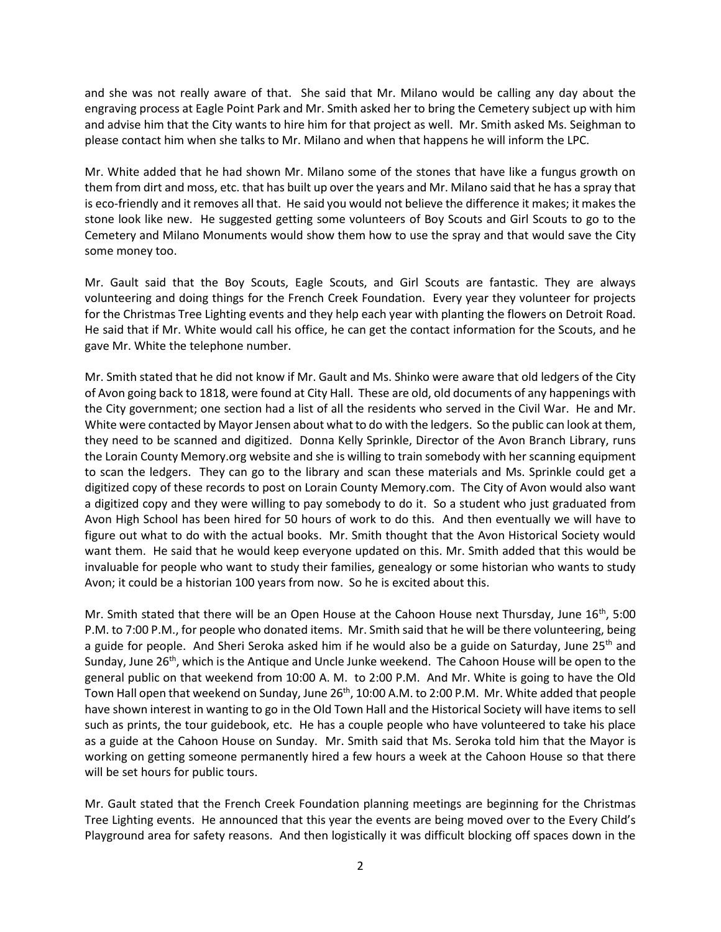and she was not really aware of that. She said that Mr. Milano would be calling any day about the engraving process at Eagle Point Park and Mr. Smith asked her to bring the Cemetery subject up with him and advise him that the City wants to hire him for that project as well. Mr. Smith asked Ms. Seighman to please contact him when she talks to Mr. Milano and when that happens he will inform the LPC.

Mr. White added that he had shown Mr. Milano some of the stones that have like a fungus growth on them from dirt and moss, etc. that has built up over the years and Mr. Milano said that he has a spray that is eco-friendly and it removes all that. He said you would not believe the difference it makes; it makes the stone look like new. He suggested getting some volunteers of Boy Scouts and Girl Scouts to go to the Cemetery and Milano Monuments would show them how to use the spray and that would save the City some money too.

Mr. Gault said that the Boy Scouts, Eagle Scouts, and Girl Scouts are fantastic. They are always volunteering and doing things for the French Creek Foundation. Every year they volunteer for projects for the Christmas Tree Lighting events and they help each year with planting the flowers on Detroit Road. He said that if Mr. White would call his office, he can get the contact information for the Scouts, and he gave Mr. White the telephone number.

Mr. Smith stated that he did not know if Mr. Gault and Ms. Shinko were aware that old ledgers of the City of Avon going back to 1818, were found at City Hall. These are old, old documents of any happenings with the City government; one section had a list of all the residents who served in the Civil War. He and Mr. White were contacted by Mayor Jensen about what to do with the ledgers. So the public can look at them, they need to be scanned and digitized. Donna Kelly Sprinkle, Director of the Avon Branch Library, runs the Lorain County Memory.org website and she is willing to train somebody with her scanning equipment to scan the ledgers. They can go to the library and scan these materials and Ms. Sprinkle could get a digitized copy of these records to post on Lorain County Memory.com. The City of Avon would also want a digitized copy and they were willing to pay somebody to do it. So a student who just graduated from Avon High School has been hired for 50 hours of work to do this. And then eventually we will have to figure out what to do with the actual books. Mr. Smith thought that the Avon Historical Society would want them. He said that he would keep everyone updated on this. Mr. Smith added that this would be invaluable for people who want to study their families, genealogy or some historian who wants to study Avon; it could be a historian 100 years from now. So he is excited about this.

Mr. Smith stated that there will be an Open House at the Cahoon House next Thursday, June  $16^{th}$ , 5:00 P.M. to 7:00 P.M., for people who donated items. Mr. Smith said that he will be there volunteering, being a guide for people. And Sheri Seroka asked him if he would also be a guide on Saturday, June 25<sup>th</sup> and Sunday, June 26<sup>th</sup>, which is the Antique and Uncle Junke weekend. The Cahoon House will be open to the general public on that weekend from 10:00 A. M. to 2:00 P.M. And Mr. White is going to have the Old Town Hall open that weekend on Sunday, June 26<sup>th</sup>, 10:00 A.M. to 2:00 P.M. Mr. White added that people have shown interest in wanting to go in the Old Town Hall and the Historical Society will have items to sell such as prints, the tour guidebook, etc. He has a couple people who have volunteered to take his place as a guide at the Cahoon House on Sunday. Mr. Smith said that Ms. Seroka told him that the Mayor is working on getting someone permanently hired a few hours a week at the Cahoon House so that there will be set hours for public tours.

Mr. Gault stated that the French Creek Foundation planning meetings are beginning for the Christmas Tree Lighting events. He announced that this year the events are being moved over to the Every Child's Playground area for safety reasons. And then logistically it was difficult blocking off spaces down in the